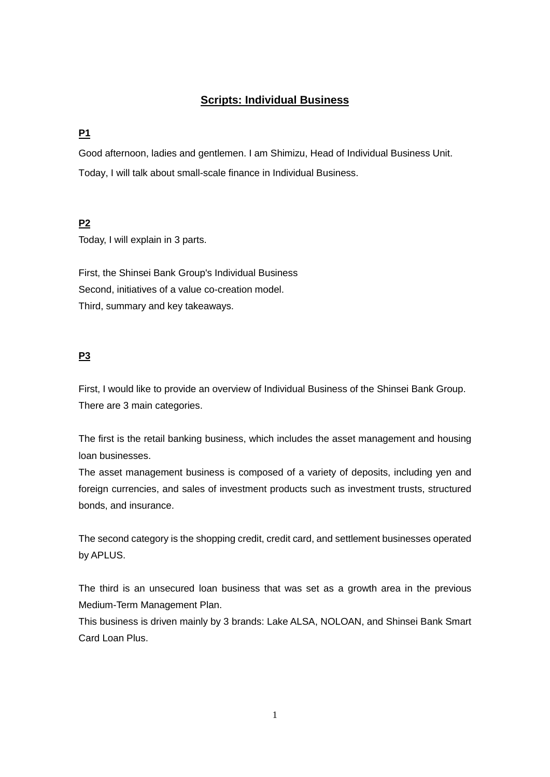# **Scripts: Individual Business**

# **P1**

Good afternoon, ladies and gentlemen. I am Shimizu, Head of Individual Business Unit. Today, I will talk about small-scale finance in Individual Business.

## **P2**

Today, I will explain in 3 parts.

First, the Shinsei Bank Group's Individual Business Second, initiatives of a value co-creation model. Third, summary and key takeaways.

## **P3**

First, I would like to provide an overview of Individual Business of the Shinsei Bank Group. There are 3 main categories.

The first is the retail banking business, which includes the asset management and housing loan businesses.

The asset management business is composed of a variety of deposits, including yen and foreign currencies, and sales of investment products such as investment trusts, structured bonds, and insurance.

The second category is the shopping credit, credit card, and settlement businesses operated by APLUS.

The third is an unsecured loan business that was set as a growth area in the previous Medium-Term Management Plan.

This business is driven mainly by 3 brands: Lake ALSA, NOLOAN, and Shinsei Bank Smart Card Loan Plus.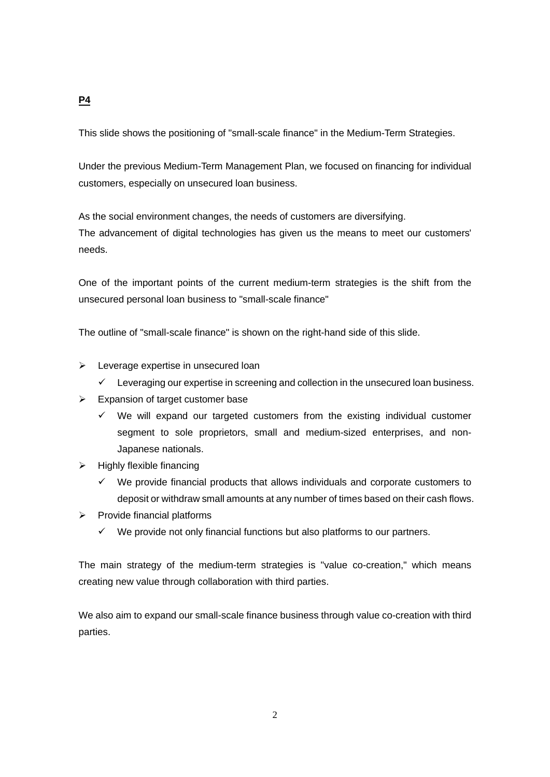# This slide shows the positioning of "small-scale finance" in the Medium-Term Strategies.

Under the previous Medium-Term Management Plan, we focused on financing for individual customers, especially on unsecured loan business.

As the social environment changes, the needs of customers are diversifying. The advancement of digital technologies has given us the means to meet our customers' needs.

One of the important points of the current medium-term strategies is the shift from the unsecured personal loan business to "small-scale finance"

The outline of "small-scale finance" is shown on the right-hand side of this slide.

- $\triangleright$  Leverage expertise in unsecured loan
	- $\checkmark$  Leveraging our expertise in screening and collection in the unsecured loan business.
- $\triangleright$  Expansion of target customer base
	- $\checkmark$  We will expand our targeted customers from the existing individual customer segment to sole proprietors, small and medium-sized enterprises, and non-Japanese nationals.
- $\triangleright$  Highly flexible financing
	- $\checkmark$  We provide financial products that allows individuals and corporate customers to deposit or withdraw small amounts at any number of times based on their cash flows.
- $\triangleright$  Provide financial platforms
	- $\checkmark$  We provide not only financial functions but also platforms to our partners.

The main strategy of the medium-term strategies is "value co-creation," which means creating new value through collaboration with third parties.

We also aim to expand our small-scale finance business through value co-creation with third parties.

# **P4**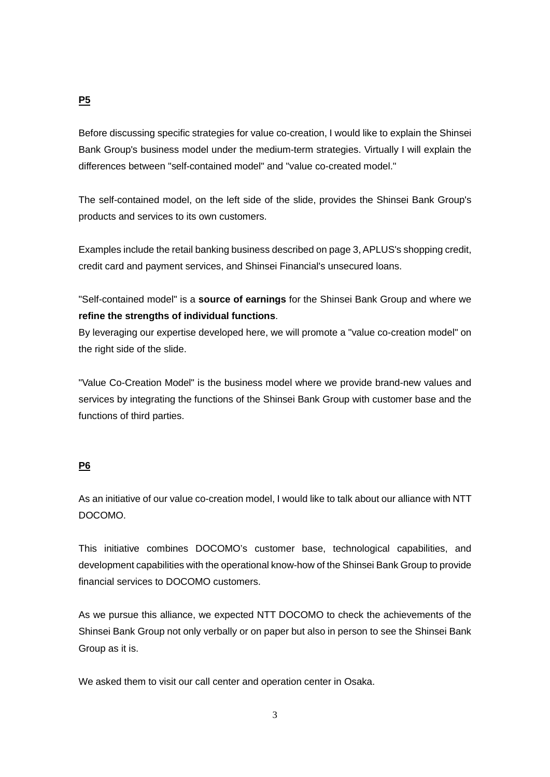## **P5**

Before discussing specific strategies for value co-creation, I would like to explain the Shinsei Bank Group's business model under the medium-term strategies. Virtually I will explain the differences between "self-contained model" and "value co-created model."

The self-contained model, on the left side of the slide, provides the Shinsei Bank Group's products and services to its own customers.

Examples include the retail banking business described on page 3, APLUS's shopping credit, credit card and payment services, and Shinsei Financial's unsecured loans.

"Self-contained model" is a **source of earnings** for the Shinsei Bank Group and where we **refine the strengths of individual functions**.

By leveraging our expertise developed here, we will promote a "value co-creation model" on the right side of the slide.

"Value Co-Creation Model" is the business model where we provide brand-new values and services by integrating the functions of the Shinsei Bank Group with customer base and the functions of third parties.

## **P6**

As an initiative of our value co-creation model, I would like to talk about our alliance with NTT DOCOMO.

This initiative combines DOCOMO's customer base, technological capabilities, and development capabilities with the operational know-how of the Shinsei Bank Group to provide financial services to DOCOMO customers.

As we pursue this alliance, we expected NTT DOCOMO to check the achievements of the Shinsei Bank Group not only verbally or on paper but also in person to see the Shinsei Bank Group as it is.

We asked them to visit our call center and operation center in Osaka.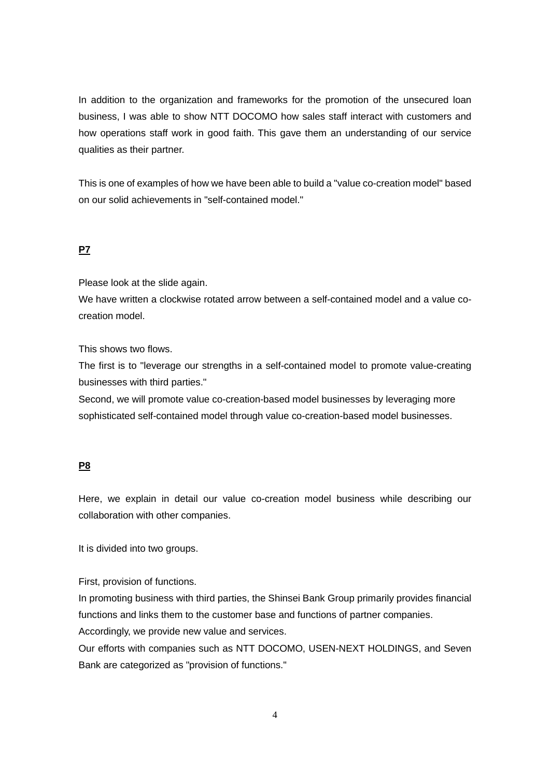In addition to the organization and frameworks for the promotion of the unsecured loan business, I was able to show NTT DOCOMO how sales staff interact with customers and how operations staff work in good faith. This gave them an understanding of our service qualities as their partner.

This is one of examples of how we have been able to build a "value co-creation model" based on our solid achievements in "self-contained model."

#### **P7**

Please look at the slide again.

We have written a clockwise rotated arrow between a self-contained model and a value cocreation model.

This shows two flows.

The first is to "leverage our strengths in a self-contained model to promote value-creating businesses with third parties."

Second, we will promote value co-creation-based model businesses by leveraging more sophisticated self-contained model through value co-creation-based model businesses.

#### **P8**

Here, we explain in detail our value co-creation model business while describing our collaboration with other companies.

It is divided into two groups.

First, provision of functions.

In promoting business with third parties, the Shinsei Bank Group primarily provides financial functions and links them to the customer base and functions of partner companies.

Accordingly, we provide new value and services.

Our efforts with companies such as NTT DOCOMO, USEN-NEXT HOLDINGS, and Seven Bank are categorized as "provision of functions."

4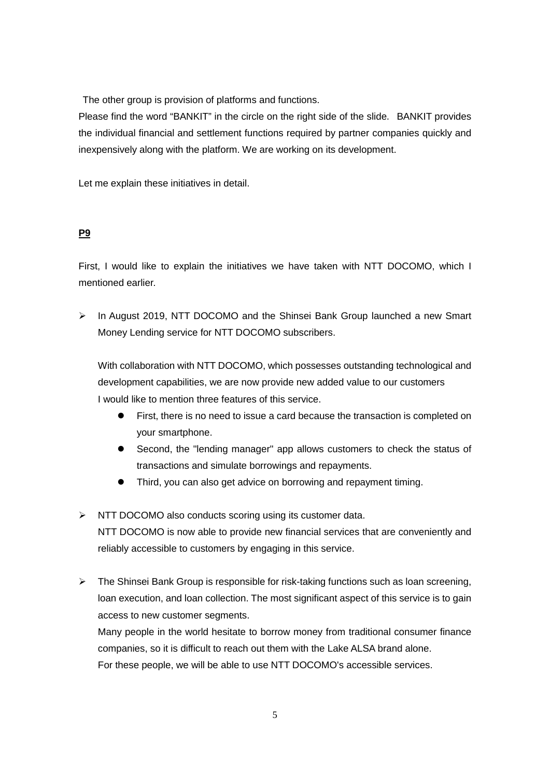The other group is provision of platforms and functions.

Please find the word "BANKIT" in the circle on the right side of the slide. BANKIT provides the individual financial and settlement functions required by partner companies quickly and inexpensively along with the platform. We are working on its development.

Let me explain these initiatives in detail.

#### **P9**

First, I would like to explain the initiatives we have taken with NTT DOCOMO, which I mentioned earlier.

 $\triangleright$  In August 2019, NTT DOCOMO and the Shinsei Bank Group launched a new Smart Money Lending service for NTT DOCOMO subscribers.

With collaboration with NTT DOCOMO, which possesses outstanding technological and development capabilities, we are now provide new added value to our customers I would like to mention three features of this service.

- First, there is no need to issue a card because the transaction is completed on your smartphone.
- Second, the "lending manager" app allows customers to check the status of transactions and simulate borrowings and repayments.
- Third, you can also get advice on borrowing and repayment timing.
- $\triangleright$  NTT DOCOMO also conducts scoring using its customer data. NTT DOCOMO is now able to provide new financial services that are conveniently and reliably accessible to customers by engaging in this service.
- $\triangleright$  The Shinsei Bank Group is responsible for risk-taking functions such as loan screening, loan execution, and loan collection. The most significant aspect of this service is to gain access to new customer segments.

Many people in the world hesitate to borrow money from traditional consumer finance companies, so it is difficult to reach out them with the Lake ALSA brand alone. For these people, we will be able to use NTT DOCOMO's accessible services.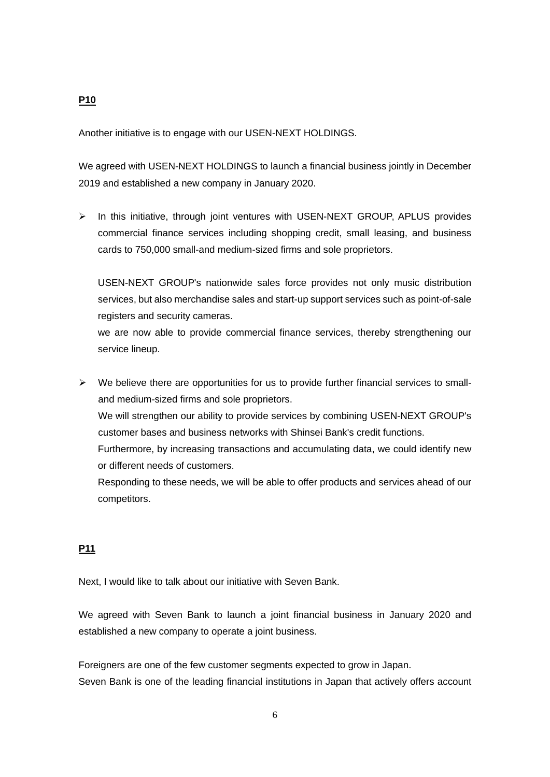#### **P10**

Another initiative is to engage with our USEN-NEXT HOLDINGS.

We agreed with USEN-NEXT HOLDINGS to launch a financial business jointly in December 2019 and established a new company in January 2020.

 $\triangleright$  In this initiative, through joint ventures with USEN-NEXT GROUP, APLUS provides commercial finance services including shopping credit, small leasing, and business cards to 750,000 small-and medium-sized firms and sole proprietors.

USEN-NEXT GROUP's nationwide sales force provides not only music distribution services, but also merchandise sales and start-up support services such as point-of-sale registers and security cameras.

we are now able to provide commercial finance services, thereby strengthening our service lineup.

 $\triangleright$  We believe there are opportunities for us to provide further financial services to smalland medium-sized firms and sole proprietors. We will strengthen our ability to provide services by combining USEN-NEXT GROUP's customer bases and business networks with Shinsei Bank's credit functions. Furthermore, by increasing transactions and accumulating data, we could identify new or different needs of customers.

Responding to these needs, we will be able to offer products and services ahead of our competitors.

## **P11**

Next, I would like to talk about our initiative with Seven Bank.

We agreed with Seven Bank to launch a joint financial business in January 2020 and established a new company to operate a joint business.

Foreigners are one of the few customer segments expected to grow in Japan. Seven Bank is one of the leading financial institutions in Japan that actively offers account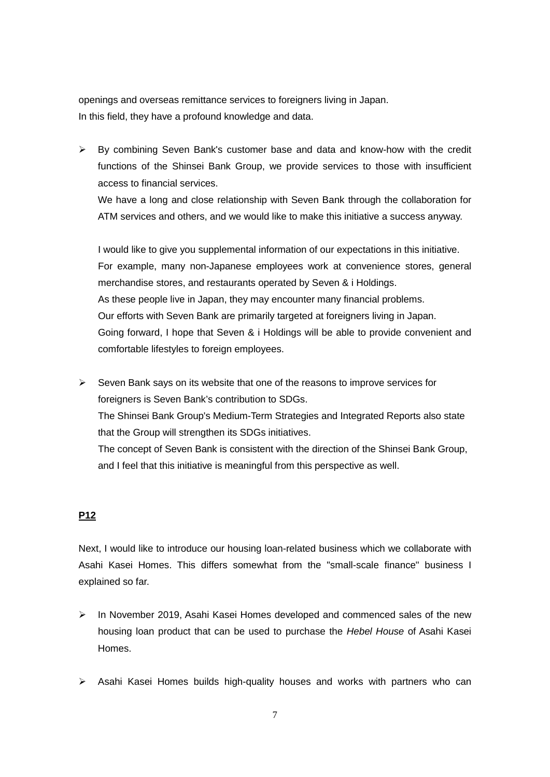openings and overseas remittance services to foreigners living in Japan. In this field, they have a profound knowledge and data.

 $\triangleright$  By combining Seven Bank's customer base and data and know-how with the credit functions of the Shinsei Bank Group, we provide services to those with insufficient access to financial services.

We have a long and close relationship with Seven Bank through the collaboration for ATM services and others, and we would like to make this initiative a success anyway.

I would like to give you supplemental information of our expectations in this initiative. For example, many non-Japanese employees work at convenience stores, general merchandise stores, and restaurants operated by Seven & i Holdings. As these people live in Japan, they may encounter many financial problems. Our efforts with Seven Bank are primarily targeted at foreigners living in Japan. Going forward, I hope that Seven & i Holdings will be able to provide convenient and comfortable lifestyles to foreign employees.

 $\triangleright$  Seven Bank says on its website that one of the reasons to improve services for foreigners is Seven Bank's contribution to SDGs. The Shinsei Bank Group's Medium-Term Strategies and Integrated Reports also state that the Group will strengthen its SDGs initiatives. The concept of Seven Bank is consistent with the direction of the Shinsei Bank Group, and I feel that this initiative is meaningful from this perspective as well.

## **P12**

Next, I would like to introduce our housing loan-related business which we collaborate with Asahi Kasei Homes. This differs somewhat from the "small-scale finance" business I explained so far.

- $\triangleright$  In November 2019, Asahi Kasei Homes developed and commenced sales of the new housing loan product that can be used to purchase the *Hebel House* of Asahi Kasei Homes.
- $\triangleright$  Asahi Kasei Homes builds high-quality houses and works with partners who can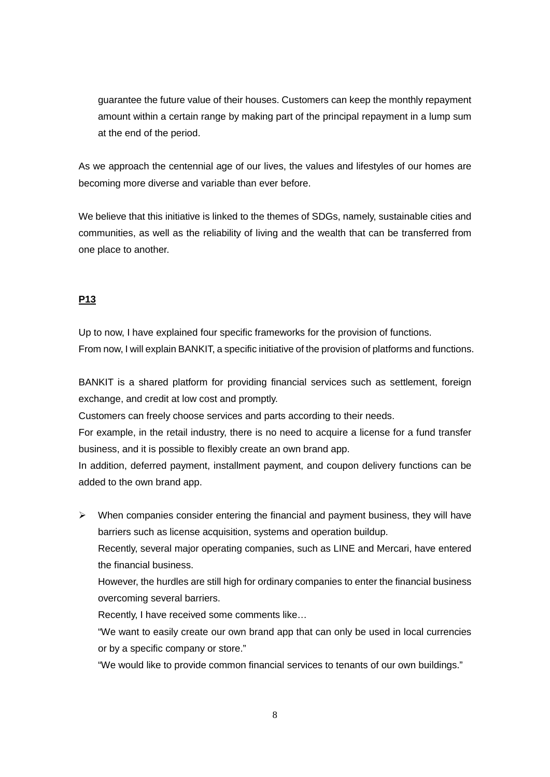guarantee the future value of their houses. Customers can keep the monthly repayment amount within a certain range by making part of the principal repayment in a lump sum at the end of the period.

As we approach the centennial age of our lives, the values and lifestyles of our homes are becoming more diverse and variable than ever before.

We believe that this initiative is linked to the themes of SDGs, namely, sustainable cities and communities, as well as the reliability of living and the wealth that can be transferred from one place to another.

## **P13**

Up to now, I have explained four specific frameworks for the provision of functions. From now, I will explain BANKIT, a specific initiative of the provision of platforms and functions.

BANKIT is a shared platform for providing financial services such as settlement, foreign exchange, and credit at low cost and promptly.

Customers can freely choose services and parts according to their needs.

For example, in the retail industry, there is no need to acquire a license for a fund transfer business, and it is possible to flexibly create an own brand app.

In addition, deferred payment, installment payment, and coupon delivery functions can be added to the own brand app.

 $\triangleright$  When companies consider entering the financial and payment business, they will have barriers such as license acquisition, systems and operation buildup.

Recently, several major operating companies, such as LINE and Mercari, have entered the financial business.

However, the hurdles are still high for ordinary companies to enter the financial business overcoming several barriers.

Recently, I have received some comments like…

"We want to easily create our own brand app that can only be used in local currencies or by a specific company or store."

"We would like to provide common financial services to tenants of our own buildings."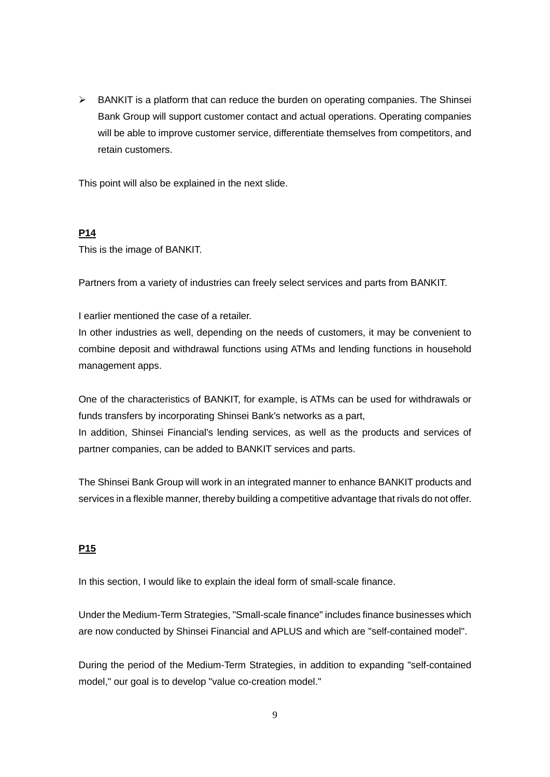$\triangleright$  BANKIT is a platform that can reduce the burden on operating companies. The Shinsei Bank Group will support customer contact and actual operations. Operating companies will be able to improve customer service, differentiate themselves from competitors, and retain customers.

This point will also be explained in the next slide.

#### **P14**

This is the image of BANKIT.

Partners from a variety of industries can freely select services and parts from BANKIT.

I earlier mentioned the case of a retailer.

In other industries as well, depending on the needs of customers, it may be convenient to combine deposit and withdrawal functions using ATMs and lending functions in household management apps.

One of the characteristics of BANKIT, for example, is ATMs can be used for withdrawals or funds transfers by incorporating Shinsei Bank's networks as a part,

In addition, Shinsei Financial's lending services, as well as the products and services of partner companies, can be added to BANKIT services and parts.

The Shinsei Bank Group will work in an integrated manner to enhance BANKIT products and services in a flexible manner, thereby building a competitive advantage that rivals do not offer.

#### **P15**

In this section, I would like to explain the ideal form of small-scale finance.

Under the Medium-Term Strategies, "Small-scale finance" includes finance businesses which are now conducted by Shinsei Financial and APLUS and which are "self-contained model".

During the period of the Medium-Term Strategies, in addition to expanding "self-contained model," our goal is to develop "value co-creation model."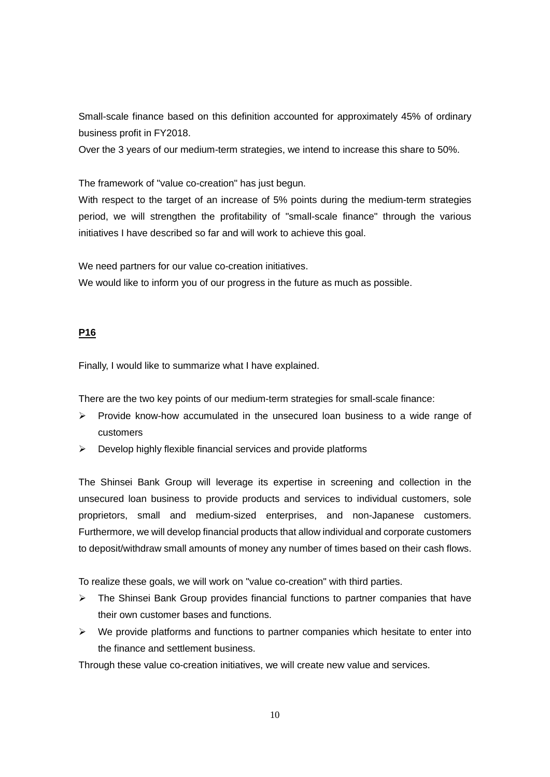Small-scale finance based on this definition accounted for approximately 45% of ordinary business profit in FY2018.

Over the 3 years of our medium-term strategies, we intend to increase this share to 50%.

The framework of "value co-creation" has just begun.

With respect to the target of an increase of 5% points during the medium-term strategies period, we will strengthen the profitability of "small-scale finance" through the various initiatives I have described so far and will work to achieve this goal.

We need partners for our value co-creation initiatives.

We would like to inform you of our progress in the future as much as possible.

## **P16**

Finally, I would like to summarize what I have explained.

There are the two key points of our medium-term strategies for small-scale finance:

- $\triangleright$  Provide know-how accumulated in the unsecured loan business to a wide range of customers
- $\triangleright$  Develop highly flexible financial services and provide platforms

The Shinsei Bank Group will leverage its expertise in screening and collection in the unsecured loan business to provide products and services to individual customers, sole proprietors, small and medium-sized enterprises, and non-Japanese customers. Furthermore, we will develop financial products that allow individual and corporate customers to deposit/withdraw small amounts of money any number of times based on their cash flows.

To realize these goals, we will work on "value co-creation" with third parties.

- $\triangleright$  The Shinsei Bank Group provides financial functions to partner companies that have their own customer bases and functions.
- $\triangleright$  We provide platforms and functions to partner companies which hesitate to enter into the finance and settlement business.

Through these value co-creation initiatives, we will create new value and services.